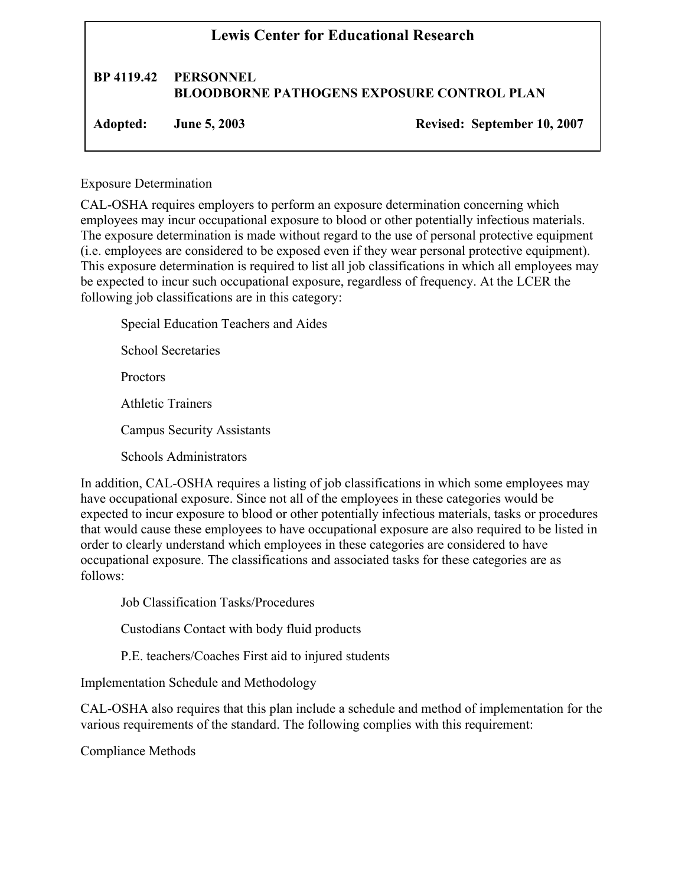## **Lewis Center for Educational Research BP 4119.42 PERSONNEL BLOODBORNE PATHOGENS EXPOSURE CONTROL PLAN Adopted: June 5, 2003 Revised: September 10, 2007**

Exposure Determination

CAL-OSHA requires employers to perform an exposure determination concerning which employees may incur occupational exposure to blood or other potentially infectious materials. The exposure determination is made without regard to the use of personal protective equipment (i.e. employees are considered to be exposed even if they wear personal protective equipment). This exposure determination is required to list all job classifications in which all employees may be expected to incur such occupational exposure, regardless of frequency. At the LCER the following job classifications are in this category:

Special Education Teachers and Aides School Secretaries Proctors Athletic Trainers Campus Security Assistants Schools Administrators

In addition, CAL-OSHA requires a listing of job classifications in which some employees may have occupational exposure. Since not all of the employees in these categories would be expected to incur exposure to blood or other potentially infectious materials, tasks or procedures that would cause these employees to have occupational exposure are also required to be listed in order to clearly understand which employees in these categories are considered to have occupational exposure. The classifications and associated tasks for these categories are as follows:

Job Classification Tasks/Procedures

Custodians Contact with body fluid products

P.E. teachers/Coaches First aid to injured students

Implementation Schedule and Methodology

CAL-OSHA also requires that this plan include a schedule and method of implementation for the various requirements of the standard. The following complies with this requirement:

Compliance Methods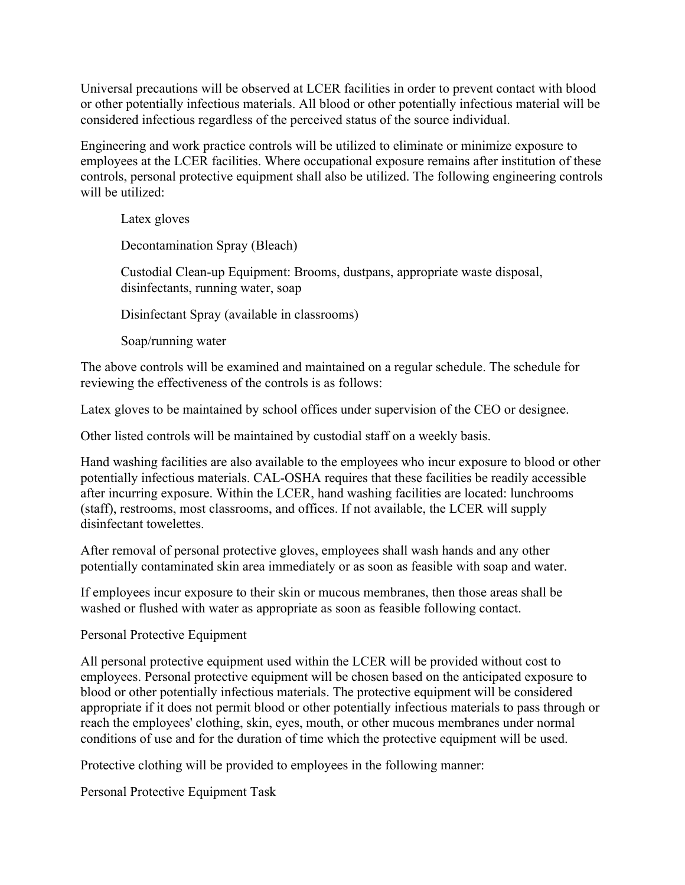Universal precautions will be observed at LCER facilities in order to prevent contact with blood or other potentially infectious materials. All blood or other potentially infectious material will be considered infectious regardless of the perceived status of the source individual.

Engineering and work practice controls will be utilized to eliminate or minimize exposure to employees at the LCER facilities. Where occupational exposure remains after institution of these controls, personal protective equipment shall also be utilized. The following engineering controls will be utilized:

Latex gloves

Decontamination Spray (Bleach)

Custodial Clean-up Equipment: Brooms, dustpans, appropriate waste disposal, disinfectants, running water, soap

Disinfectant Spray (available in classrooms)

Soap/running water

The above controls will be examined and maintained on a regular schedule. The schedule for reviewing the effectiveness of the controls is as follows:

Latex gloves to be maintained by school offices under supervision of the CEO or designee.

Other listed controls will be maintained by custodial staff on a weekly basis.

Hand washing facilities are also available to the employees who incur exposure to blood or other potentially infectious materials. CAL-OSHA requires that these facilities be readily accessible after incurring exposure. Within the LCER, hand washing facilities are located: lunchrooms (staff), restrooms, most classrooms, and offices. If not available, the LCER will supply disinfectant towelettes.

After removal of personal protective gloves, employees shall wash hands and any other potentially contaminated skin area immediately or as soon as feasible with soap and water.

If employees incur exposure to their skin or mucous membranes, then those areas shall be washed or flushed with water as appropriate as soon as feasible following contact.

## Personal Protective Equipment

All personal protective equipment used within the LCER will be provided without cost to employees. Personal protective equipment will be chosen based on the anticipated exposure to blood or other potentially infectious materials. The protective equipment will be considered appropriate if it does not permit blood or other potentially infectious materials to pass through or reach the employees' clothing, skin, eyes, mouth, or other mucous membranes under normal conditions of use and for the duration of time which the protective equipment will be used.

Protective clothing will be provided to employees in the following manner:

Personal Protective Equipment Task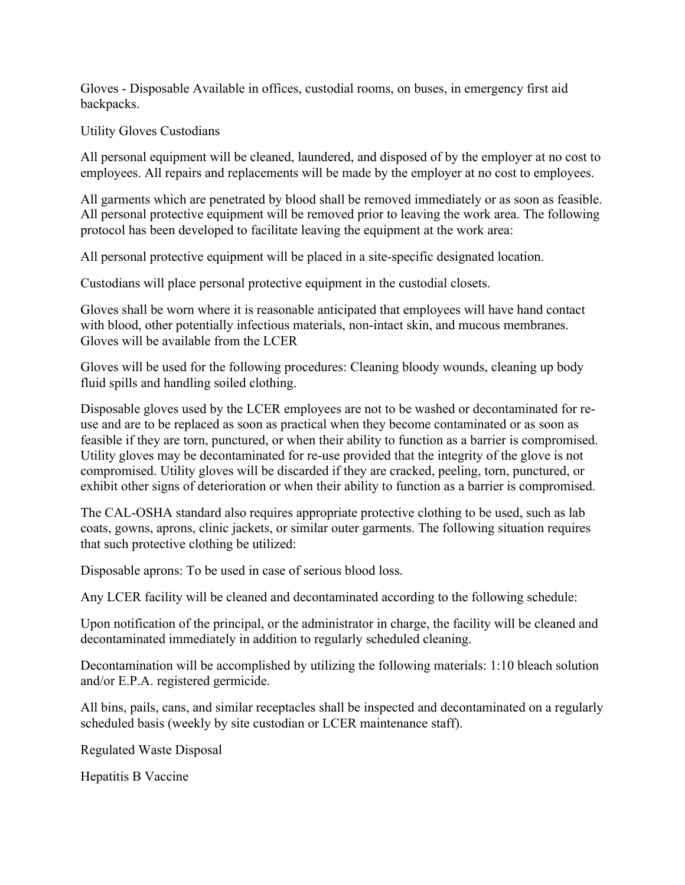Gloves - Disposable Available in offices, custodial rooms, on buses, in emergency first aid backpacks.

Utility Gloves Custodians

All personal equipment will be cleaned, laundered, and disposed of by the employer at no cost to employees. All repairs and replacements will be made by the employer at no cost to employees.

All garments which are penetrated by blood shall be removed immediately or as soon as feasible. All personal protective equipment will be removed prior to leaving the work area. The following protocol has been developed to facilitate leaving the equipment at the work area:

All personal protective equipment will be placed in a site-specific designated location.

Custodians will place personal protective equipment in the custodial closets.

Gloves shall be worn where it is reasonable anticipated that employees will have hand contact with blood, other potentially infectious materials, non-intact skin, and mucous membranes. Gloves will be available from the LCER

Gloves will be used for the following procedures: Cleaning bloody wounds, cleaning up body fluid spills and handling soiled clothing.

Disposable gloves used by the LCER employees are not to be washed or decontaminated for reuse and are to be replaced as soon as practical when they become contaminated or as soon as feasible if they are torn, punctured, or when their ability to function as a barrier is compromised. Utility gloves may be decontaminated for re-use provided that the integrity of the glove is not compromised. Utility gloves will be discarded if they are cracked, peeling, torn, punctured, or exhibit other signs of deterioration or when their ability to function as a barrier is compromised.

The CAL-OSHA standard also requires appropriate protective clothing to be used, such as lab coats, gowns, aprons, clinic jackets, or similar outer garments. The following situation requires that such protective clothing be utilized:

Disposable aprons: To be used in case of serious blood loss.

Any LCER facility will be cleaned and decontaminated according to the following schedule:

Upon notification of the principal, or the administrator in charge, the facility will be cleaned and decontaminated immediately in addition to regularly scheduled cleaning.

Decontamination will be accomplished by utilizing the following materials: 1:10 bleach solution and/or E.P.A. registered germicide.

All bins, pails, cans, and similar receptacles shall be inspected and decontaminated on a regularly scheduled basis (weekly by site custodian or LCER maintenance staff).

Regulated Waste Disposal

Hepatitis B Vaccine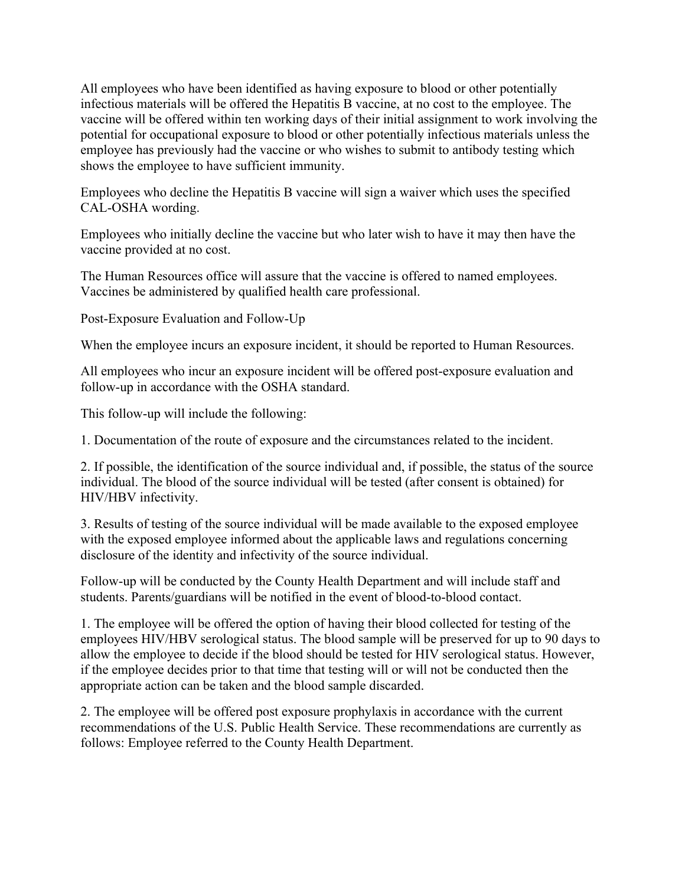All employees who have been identified as having exposure to blood or other potentially infectious materials will be offered the Hepatitis B vaccine, at no cost to the employee. The vaccine will be offered within ten working days of their initial assignment to work involving the potential for occupational exposure to blood or other potentially infectious materials unless the employee has previously had the vaccine or who wishes to submit to antibody testing which shows the employee to have sufficient immunity.

Employees who decline the Hepatitis B vaccine will sign a waiver which uses the specified CAL-OSHA wording.

Employees who initially decline the vaccine but who later wish to have it may then have the vaccine provided at no cost.

The Human Resources office will assure that the vaccine is offered to named employees. Vaccines be administered by qualified health care professional.

Post-Exposure Evaluation and Follow-Up

When the employee incurs an exposure incident, it should be reported to Human Resources.

All employees who incur an exposure incident will be offered post-exposure evaluation and follow-up in accordance with the OSHA standard.

This follow-up will include the following:

1. Documentation of the route of exposure and the circumstances related to the incident.

2. If possible, the identification of the source individual and, if possible, the status of the source individual. The blood of the source individual will be tested (after consent is obtained) for HIV/HBV infectivity.

3. Results of testing of the source individual will be made available to the exposed employee with the exposed employee informed about the applicable laws and regulations concerning disclosure of the identity and infectivity of the source individual.

Follow-up will be conducted by the County Health Department and will include staff and students. Parents/guardians will be notified in the event of blood-to-blood contact.

1. The employee will be offered the option of having their blood collected for testing of the employees HIV/HBV serological status. The blood sample will be preserved for up to 90 days to allow the employee to decide if the blood should be tested for HIV serological status. However, if the employee decides prior to that time that testing will or will not be conducted then the appropriate action can be taken and the blood sample discarded.

2. The employee will be offered post exposure prophylaxis in accordance with the current recommendations of the U.S. Public Health Service. These recommendations are currently as follows: Employee referred to the County Health Department.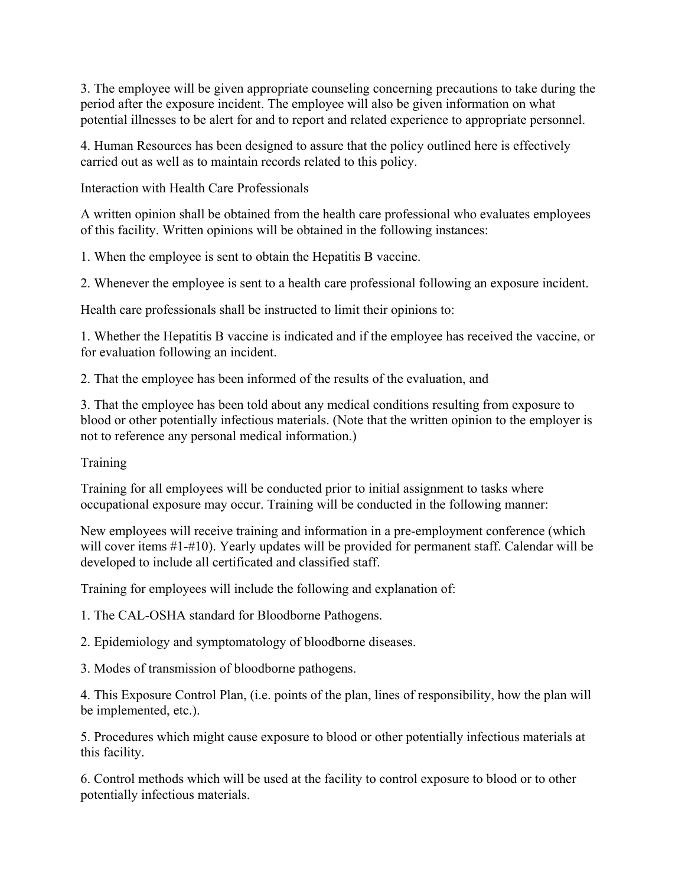3. The employee will be given appropriate counseling concerning precautions to take during the period after the exposure incident. The employee will also be given information on what potential illnesses to be alert for and to report and related experience to appropriate personnel.

4. Human Resources has been designed to assure that the policy outlined here is effectively carried out as well as to maintain records related to this policy.

Interaction with Health Care Professionals

A written opinion shall be obtained from the health care professional who evaluates employees of this facility. Written opinions will be obtained in the following instances:

1. When the employee is sent to obtain the Hepatitis B vaccine.

2. Whenever the employee is sent to a health care professional following an exposure incident.

Health care professionals shall be instructed to limit their opinions to:

1. Whether the Hepatitis B vaccine is indicated and if the employee has received the vaccine, or for evaluation following an incident.

2. That the employee has been informed of the results of the evaluation, and

3. That the employee has been told about any medical conditions resulting from exposure to blood or other potentially infectious materials. (Note that the written opinion to the employer is not to reference any personal medical information.)

Training

Training for all employees will be conducted prior to initial assignment to tasks where occupational exposure may occur. Training will be conducted in the following manner:

New employees will receive training and information in a pre-employment conference (which will cover items #1-#10). Yearly updates will be provided for permanent staff. Calendar will be developed to include all certificated and classified staff.

Training for employees will include the following and explanation of:

1. The CAL-OSHA standard for Bloodborne Pathogens.

2. Epidemiology and symptomatology of bloodborne diseases.

3. Modes of transmission of bloodborne pathogens.

4. This Exposure Control Plan, (i.e. points of the plan, lines of responsibility, how the plan will be implemented, etc.).

5. Procedures which might cause exposure to blood or other potentially infectious materials at this facility.

6. Control methods which will be used at the facility to control exposure to blood or to other potentially infectious materials.